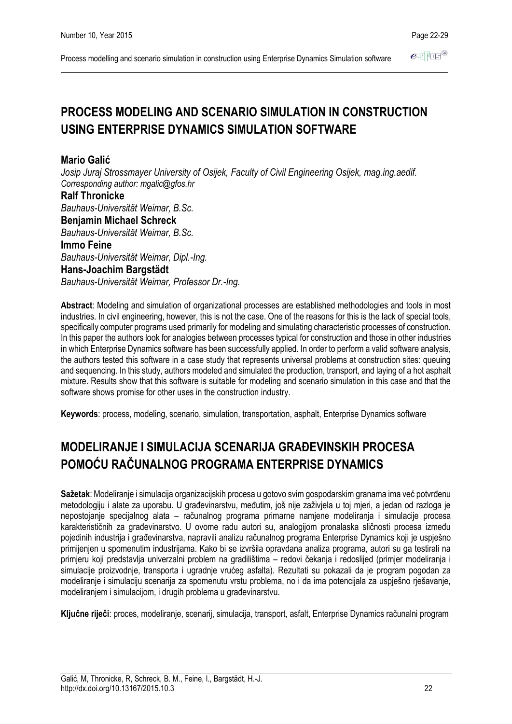Process modelling and scenario simulation in construction using Enterprise Dynamics Simulation software

# **PROCESS MODELING AND SCENARIO SIMULATION IN CONSTRUCTION USING ENTERPRISE DYNAMICS SIMULATION SOFTWARE**

# **Mario Galić**

*Josip Juraj Strossmayer University of Osijek, Faculty of Civil Engineering Osijek, mag.ing.aedif. Corresponding author: mgalic@gfos.hr*

**Ralf Thronicke** *Bauhaus-Universität Weimar, B.Sc.* **Benjamin Michael Schreck** *Bauhaus-Universität Weimar, B.Sc.* **Immo Feine** *Bauhaus-Universität Weimar, Dipl.-Ing.* **Hans-Joachim Bargstädt** *Bauhaus-Universität Weimar, Professor Dr.-Ing.*

**Abstract**: Modeling and simulation of organizational processes are established methodologies and tools in most industries. In civil engineering, however, this is not the case. One of the reasons for this is the lack of special tools, specifically computer programs used primarily for modeling and simulating characteristic processes of construction. In this paper the authors look for analogies between processes typical for construction and those in other industries in which Enterprise Dynamics software has been successfully applied. In order to perform a valid software analysis, the authors tested this software in a case study that represents universal problems at construction sites: queuing and sequencing. In this study, authors modeled and simulated the production, transport, and laying of a hot asphalt mixture. Results show that this software is suitable for modeling and scenario simulation in this case and that the software shows promise for other uses in the construction industry.

**Keywords**: process, modeling, scenario, simulation, transportation, asphalt, Enterprise Dynamics software

# **MODELIRANJE I SIMULACIJA SCENARIJA GRAĐEVINSKIH PROCESA POMOĆU RAČUNALNOG PROGRAMA ENTERPRISE DYNAMICS**

**Sažetak**: Modeliranje i simulacija organizacijskih procesa u gotovo svim gospodarskim granama ima već potvrđenu metodologiju i alate za uporabu. U građevinarstvu, međutim, još nije zaživjela u toj mjeri, a jedan od razloga je nepostojanje specijalnog alata – računalnog programa primarne namjene modeliranja i simulacije procesa karakterističnih za građevinarstvo. U ovome radu autori su, analogijom pronalaska sličnosti procesa između pojedinih industrija i građevinarstva, napravili analizu računalnog programa Enterprise Dynamics koji je uspješno primijenjen u spomenutim industrijama. Kako bi se izvršila opravdana analiza programa, autori su ga testirali na primjeru koji predstavlja univerzalni problem na gradilištima – redovi čekanja i redoslijed (primjer modeliranja i simulacije proizvodnje, transporta i ugradnje vrućeg asfalta). Rezultati su pokazali da je program pogodan za modeliranje i simulaciju scenarija za spomenutu vrstu problema, no i da ima potencijala za uspješno rješavanje, modeliranjem i simulacijom, i drugih problema u građevinarstvu.

**Ključne riječi**: proces, modeliranje, scenarij, simulacija, transport, asfalt, Enterprise Dynamics računalni program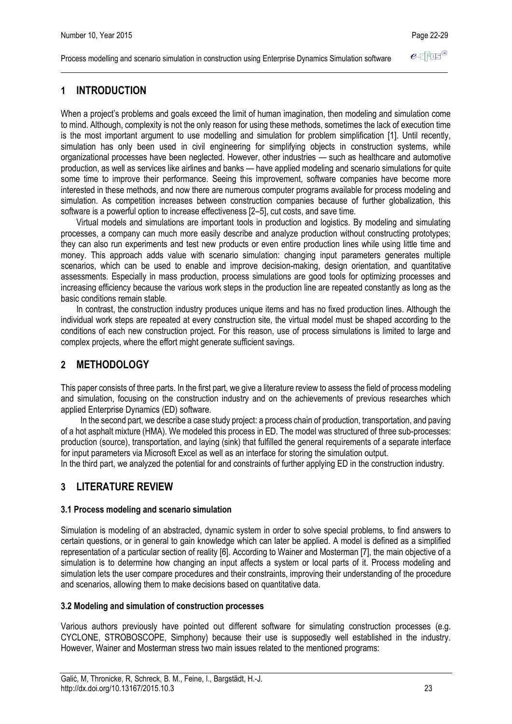Process modelling and scenario simulation in construction using Enterprise Dynamics Simulation software

# **1 INTRODUCTION**

When a project's problems and goals exceed the limit of human imagination, then modeling and simulation come to mind. Although, complexity is not the only reason for using these methods, sometimes the lack of execution time is the most important argument to use modelling and simulation for problem simplification [1]. Until recently, simulation has only been used in civil engineering for simplifying objects in construction systems, while organizational processes have been neglected. However, other industries — such as healthcare and automotive production, as well as services like airlines and banks — have applied modeling and scenario simulations for quite some time to improve their performance. Seeing this improvement, software companies have become more interested in these methods, and now there are numerous computer programs available for process modeling and simulation. As competition increases between construction companies because of further globalization, this software is a powerful option to increase effectiveness [2–5], cut costs, and save time.

Virtual models and simulations are important tools in production and logistics. By modeling and simulating processes, a company can much more easily describe and analyze production without constructing prototypes; they can also run experiments and test new products or even entire production lines while using little time and money. This approach adds value with scenario simulation: changing input parameters generates multiple scenarios, which can be used to enable and improve decision-making, design orientation, and quantitative assessments. Especially in mass production, process simulations are good tools for optimizing processes and increasing efficiency because the various work steps in the production line are repeated constantly as long as the basic conditions remain stable.

In contrast, the construction industry produces unique items and has no fixed production lines. Although the individual work steps are repeated at every construction site, the virtual model must be shaped according to the conditions of each new construction project. For this reason, use of process simulations is limited to large and complex projects, where the effort might generate sufficient savings.

# **2 METHODOLOGY**

This paper consists of three parts. In the first part, we give a literature review to assess the field of process modeling and simulation, focusing on the construction industry and on the achievements of previous researches which applied Enterprise Dynamics (ED) software.

In the second part, we describe a case study project: a process chain of production, transportation, and paving of a hot asphalt mixture (HMA). We modeled this process in ED. The model was structured of three sub-processes: production (source), transportation, and laying (sink) that fulfilled the general requirements of a separate interface for input parameters via Microsoft Excel as well as an interface for storing the simulation output.

In the third part, we analyzed the potential for and constraints of further applying ED in the construction industry.

# **3 LITERATURE REVIEW**

# **3.1 Process modeling and scenario simulation**

Simulation is modeling of an abstracted, dynamic system in order to solve special problems, to find answers to certain questions, or in general to gain knowledge which can later be applied. A model is defined as a simplified representation of a particular section of reality [6]. According to Wainer and Mosterman [7], the main objective of a simulation is to determine how changing an input affects a system or local parts of it. Process modeling and simulation lets the user compare procedures and their constraints, improving their understanding of the procedure and scenarios, allowing them to make decisions based on quantitative data.

### **3.2 Modeling and simulation of construction processes**

Various authors previously have pointed out different software for simulating construction processes (e.g. CYCLONE, STROBOSCOPE, Simphony) because their use is supposedly well established in the industry. However, Wainer and Mosterman stress two main issues related to the mentioned programs: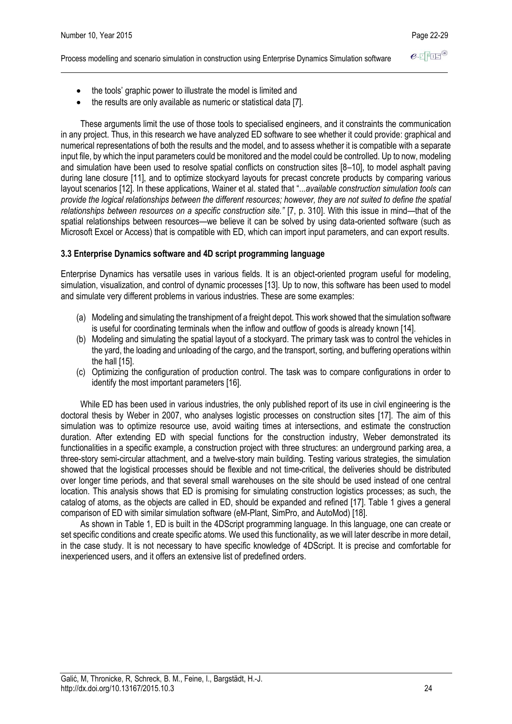Process modelling and scenario simulation in construction using Enterprise Dynamics Simulation software

- the tools' graphic power to illustrate the model is limited and
- the results are only available as numeric or statistical data [7].

These arguments limit the use of those tools to specialised engineers, and it constraints the communication in any project. Thus, in this research we have analyzed ED software to see whether it could provide: graphical and numerical representations of both the results and the model, and to assess whether it is compatible with a separate input file, by which the input parameters could be monitored and the model could be controlled. Up to now, modeling and simulation have been used to resolve spatial conflicts on construction sites [8–10], to model asphalt paving during lane closure [11], and to optimize stockyard layouts for precast concrete products by comparing various layout scenarios [12]. In these applications, Wainer et al. stated that "...*available construction simulation tools can provide the logical relationships between the different resources; however, they are not suited to define the spatial relationships between resources on a specific construction site."* [7, p. 310]. With this issue in mind—that of the spatial relationships between resources—we believe it can be solved by using data-oriented software (such as Microsoft Excel or Access) that is compatible with ED, which can import input parameters, and can export results.

## **3.3 Enterprise Dynamics software and 4D script programming language**

Enterprise Dynamics has versatile uses in various fields. It is an object-oriented program useful for modeling, simulation, visualization, and control of dynamic processes [13]. Up to now, this software has been used to model and simulate very different problems in various industries. These are some examples:

- (a) Modeling and simulating the transhipment of a freight depot. This work showed that the simulation software is useful for coordinating terminals when the inflow and outflow of goods is already known [14].
- (b) Modeling and simulating the spatial layout of a stockyard. The primary task was to control the vehicles in the yard, the loading and unloading of the cargo, and the transport, sorting, and buffering operations within the hall [15].
- (c) Optimizing the configuration of production control. The task was to compare configurations in order to identify the most important parameters [16].

While ED has been used in various industries, the only published report of its use in civil engineering is the doctoral thesis by Weber in 2007, who analyses logistic processes on construction sites [17]. The aim of this simulation was to optimize resource use, avoid waiting times at intersections, and estimate the construction duration. After extending ED with special functions for the construction industry, Weber demonstrated its functionalities in a specific example, a construction project with three structures: an underground parking area, a three-story semi-circular attachment, and a twelve-story main building. Testing various strategies, the simulation showed that the logistical processes should be flexible and not time-critical, the deliveries should be distributed over longer time periods, and that several small warehouses on the site should be used instead of one central location. This analysis shows that ED is promising for simulating construction logistics processes; as such, the catalog of atoms, as the objects are called in ED, should be expanded and refined [17]. Table 1 gives a general comparison of ED with similar simulation software (eM-Plant, SimPro, and AutoMod) [18].

As shown in Table 1, ED is built in the 4DScript programming language. In this language, one can create or set specific conditions and create specific atoms. We used this functionality, as we will later describe in more detail, in the case study. It is not necessary to have specific knowledge of 4DScript. It is precise and comfortable for inexperienced users, and it offers an extensive list of predefined orders.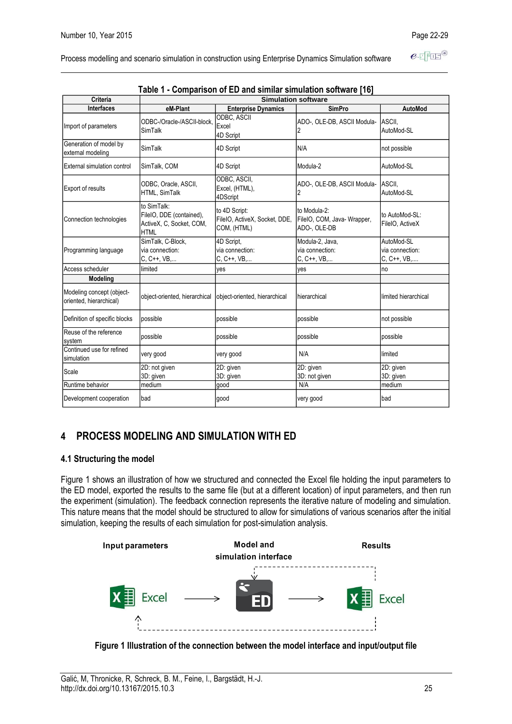$e$ -TFIE<sup>®</sup>

Process modelling and scenario simulation in construction using Enterprise Dynamics Simulation software

|                                                                             |                                                                                    | Table 1 - Comparison of ED and similar simulation software [16] |                                                             |                                              |  |  |  |
|-----------------------------------------------------------------------------|------------------------------------------------------------------------------------|-----------------------------------------------------------------|-------------------------------------------------------------|----------------------------------------------|--|--|--|
| Criteria                                                                    |                                                                                    | <b>Simulation software</b>                                      |                                                             |                                              |  |  |  |
| <b>Interfaces</b>                                                           | eM-Plant                                                                           | <b>Enterprise Dynamics</b>                                      | <b>SimPro</b>                                               | <b>AutoMod</b>                               |  |  |  |
| Import of parameters                                                        | ODBC-/Oracle-/ASCII-block.<br>SimTalk                                              | ODBC, ASCII<br>Excel<br>4D Script                               | ADO-, OLE-DB, ASCII Modula-<br>$\overline{2}$               | ASCII,<br>AutoMod-SL                         |  |  |  |
| Generation of model by<br>external modeling                                 | SimTalk                                                                            | 4D Script                                                       | N/A                                                         | not possible                                 |  |  |  |
| External simulation control                                                 | SimTalk, COM                                                                       | 4D Script                                                       | Modula-2                                                    | AutoMod-SL                                   |  |  |  |
| <b>Export of results</b>                                                    | ODBC, Oracle, ASCII,<br>HTML, SimTalk                                              | ODBC, ASCII,<br>Excel, (HTML),<br>4DScript                      | ADO-, OLE-DB, ASCII Modula-<br>2                            | ASCII,<br>AutoMod-SL                         |  |  |  |
| Connection technologies                                                     | to SimTalk:<br>FileIO, DDE (contained),<br>ActiveX, C, Socket, COM,<br><b>HTML</b> | to 4D Script:<br>FileIO, ActiveX, Socket, DDE,<br>COM, (HTML)   | to Modula-2:<br>FileIO, COM, Java- Wrapper,<br>ADO-, OLE-DB | to AutoMod-SL:<br>FileIO, ActiveX            |  |  |  |
| SimTalk, C-Block,<br>via connection:<br>Programming language<br>C, C++, VB, |                                                                                    | 4D Script.<br>via connection:<br>C, C++, VB,                    | Modula-2, Java,<br>via connection:<br>C, C++, VB,           | AutoMod-SL<br>via connection:<br>C, C++, VB, |  |  |  |
| Access scheduler                                                            | limited                                                                            | yes                                                             | yes                                                         | no                                           |  |  |  |
| Modeling                                                                    |                                                                                    |                                                                 |                                                             |                                              |  |  |  |
| Modeling concept (object-<br>oriented, hierarchical)                        | object-oriented, hierarchical                                                      | object-oriented, hierarchical                                   | hierarchical                                                | limited hierarchical                         |  |  |  |
| Definition of specific blocks                                               | possible                                                                           | possible                                                        | possible                                                    | not possible                                 |  |  |  |
| Reuse of the reference<br>system                                            | possible                                                                           | possible                                                        | possible                                                    | possible                                     |  |  |  |
| Continued use for refined<br>simulation                                     | very good                                                                          | very good                                                       | N/A                                                         | limited                                      |  |  |  |
| Scale                                                                       | 2D: not given<br>3D: given                                                         | 2D: given<br>3D: given                                          | 2D: given<br>3D: not given                                  | 2D: given<br>3D: given                       |  |  |  |
| Runtime behavior                                                            | medium                                                                             | qood                                                            | N/A                                                         | medium                                       |  |  |  |
| Development cooperation                                                     | bad                                                                                | good                                                            | very good                                                   | bad                                          |  |  |  |

# **4 PROCESS MODELING AND SIMULATION WITH ED**

### **4.1 Structuring the model**

Figure 1 shows an illustration of how we structured and connected the Excel file holding the input parameters to the ED model, exported the results to the same file (but at a different location) of input parameters, and then run the experiment (simulation). The feedback connection represents the iterative nature of modeling and simulation. This nature means that the model should be structured to allow for simulations of various scenarios after the initial simulation, keeping the results of each simulation for post-simulation analysis.



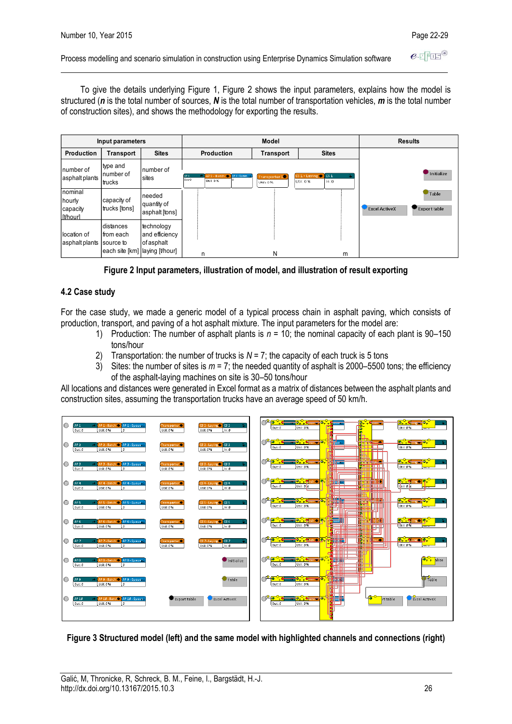#### Process modelling and scenario simulation in construction using Enterprise Dynamics Simulation software

To give the details underlying Figure 1, Figure 2 shows the input parameters, explains how the model is structured (*n* is the total number of sources, *N* is the total number of transportation vehicles, *m* is the total number of construction sites), and shows the methodology for exporting the results.

|                                           | Input parameters                                                      |                                            |                                                                      | Model                      |                                                      | <b>Results</b>                                       |
|-------------------------------------------|-----------------------------------------------------------------------|--------------------------------------------|----------------------------------------------------------------------|----------------------------|------------------------------------------------------|------------------------------------------------------|
| Production                                | Transport                                                             | <b>Sites</b>                               | Production                                                           | Transport                  | <b>Sites</b>                                         |                                                      |
| number of<br>asphalt plants               | type and<br>number of<br>trucks                                       | number of<br>sites                         | AP1 - Batch @ AP1 - Queue =<br>AP <sub>1</sub><br>Out:O<br>Util: 0 % | Transporter 10<br>Util: 0% | $\sqrt{cs_1}$<br>CS 1 - Laying<br>Util: 0 %<br>In: 0 | Initialize                                           |
| nominal<br>hourly<br>capacity<br>[t/hour] | capacity of<br>trucks [tons]                                          | needed<br>quantity of<br>asphalt [tons]    |                                                                      |                            |                                                      | Table<br><b>Export table</b><br><b>Excel ActiveX</b> |
| location of<br>asphalt plants             | distances<br>from each<br>source to<br>each site [km] laying [t/hour] | technology<br>and efficiency<br>of asphalt | n                                                                    | N                          | m                                                    |                                                      |

**Figure 2 Input parameters, illustration of model, and illustration of result exporting**

# **4.2 Case study**

For the case study, we made a generic model of a typical process chain in asphalt paving, which consists of production, transport, and paving of a hot asphalt mixture. The input parameters for the model are:

- 1) Production: The number of asphalt plants is *n* = 10; the nominal capacity of each plant is 90–150 tons/hour
- 2) Transportation: the number of trucks is  $N = 7$ ; the capacity of each truck is 5 tons
- 3) Sites: the number of sites is  $m = 7$ ; the needed quantity of asphalt is 2000–5500 tons; the efficiency of the asphalt-laying machines on site is 30–50 tons/hour

All locations and distances were generated in Excel format as a matrix of distances between the asphalt plants and construction sites, assuming the transportation trucks have an average speed of 50 km/h.



### **Figure 3 Structured model (left) and the same model with highlighted channels and connections (right)**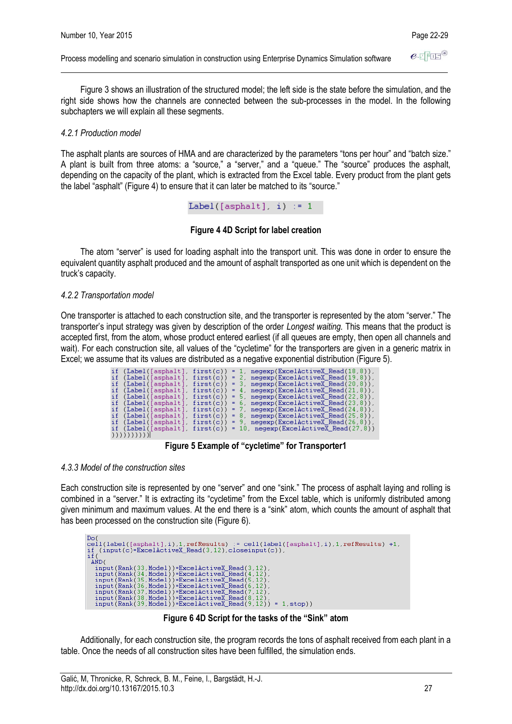Process modelling and scenario simulation in construction using Enterprise Dynamics Simulation software

Figure 3 shows an illustration of the structured model; the left side is the state before the simulation, and the right side shows how the channels are connected between the sub-processes in the model. In the following subchapters we will explain all these segments.

#### *4.2.1 Production model*

The asphalt plants are sources of HMA and are characterized by the parameters "tons per hour" and "batch size." A plant is built from three atoms: a "source," a "server," and a "queue." The "source" produces the asphalt, depending on the capacity of the plant, which is extracted from the Excel table. Every product from the plant gets the label "asphalt" (Figure 4) to ensure that it can later be matched to its "source."

Label([asphalt], i)  $:= 1$ 

#### **Figure 4 4D Script for label creation**

The atom "server" is used for loading asphalt into the transport unit. This was done in order to ensure the equivalent quantity asphalt produced and the amount of asphalt transported as one unit which is dependent on the truck's capacity.

#### *4.2.2 Transportation model*

One transporter is attached to each construction site, and the transporter is represented by the atom "server." The transporter's input strategy was given by description of the order *Longest waiting.* This means that the product is accepted first, from the atom, whose product entered earliest (if all queues are empty, then open all channels and wait). For each construction site, all values of the "cycletime" for the transporters are given in a generic matrix in Excel; we assume that its values are distributed as a negative exponential distribution (Figure 5).

| if (Label([asphalt]  | first(c)  |   | $\mathbf{1}$ . | $negexp(ExcelActiveX Read(18, 8))$ ,  |
|----------------------|-----------|---|----------------|---------------------------------------|
| if (Label([asphalt]  | first(c)  |   | $= 2.$         | negexp(ExcelActiveX Read(19,8)),      |
| if (Label([asphalt]  | first(c)  |   |                | = 3. negexp(ExcelActiveX Read(20.8)). |
| if (Label([asphalt]  | first(c)  |   | $= 4.$         | negexp(ExcelActiveX Read(21,8)),      |
| if (Label([asphalt]  | first(c)  |   |                | = 5, negexp(ExcelActiveX Read(22,8)), |
| if (Label([asphalt]  | first(c)) |   |                | = 6, negexp(ExcelActiveX Read(23,8)), |
| if (Label([asphalt]  | first(c)  |   |                | = 7, negexp(ExcelActiveX Read(24,8)), |
| if (Label([asphalt], | first(c)) | = | -8.            | $negexp(ExcelActiveX Read(25,8))$ ,   |
| if (Label([asphalt]  | first(c)) |   |                | = 9, negexp(ExcelActiveX Read(26,8)), |
| if (Label([asphalt], | first(c)  | = |                | -10, negexp(ExcelActiveX Read(27,8))  |
| ,,,,,,,,,,,          |           |   |                |                                       |

**Figure 5 Example of "cycletime" for Transporter1**

# *4.3.3 Model of the construction sites*

Each construction site is represented by one "server" and one "sink." The process of asphalt laying and rolling is combined in a "server." It is extracting its "cycletime" from the Excel table, which is uniformly distributed among given minimum and maximum values. At the end there is a "sink" atom, which counts the amount of asphalt that has been processed on the construction site (Figure 6).

| Do (                                                                               |  |
|------------------------------------------------------------------------------------|--|
| cell(label([asphalt],i),1,refResults) := cell(label([asphalt],i),1,refResults) +1, |  |
| if $(\text{input}(c) = \text{ExcelActiveX Read}(3, 12), \text{closeinput}(c))$ ,   |  |
| if (                                                                               |  |
| AND (                                                                              |  |
| input(Rank(33.Model))=ExcelActiveX_Read(3.12).                                     |  |
| $input(Rank(34, Model)) = ExcelActiveX Read(4.12)$                                 |  |
| $input(Rank(35, Model)) = ExcelActiveX Read(5, 12)$                                |  |
| $input(Rank(36, Model)) = ExcelActiveX Read(6.12)$                                 |  |
| $input(Rank(37, Model)) = ExcelActiveX Read(7, 12)$                                |  |
| $input(Rank(38, Model)) = ExcelActiveX Read(8.12)$                                 |  |
| $input(Rank(39, Model)) = ExcelActiveX Read(9, 12)) = 1, stop)$                    |  |
|                                                                                    |  |

**Figure 6 4D Script for the tasks of the "Sink" atom**

Additionally, for each construction site, the program records the tons of asphalt received from each plant in a table. Once the needs of all construction sites have been fulfilled, the simulation ends.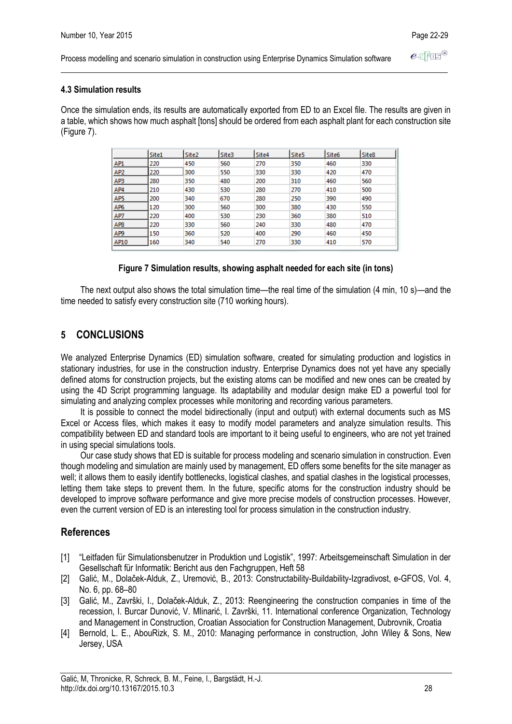$e$  FFIF Process modelling and scenario simulation in construction using Enterprise Dynamics Simulation software

## **4.3 Simulation results**

Once the simulation ends, its results are automatically exported from ED to an Excel file. The results are given in a table, which shows how much asphalt [tons] should be ordered from each asphalt plant for each construction site (Figure 7).

|                 | Site1    | Site <sub>2</sub> | Site3 | Site4 | Site <sub>5</sub> | Site <sub>6</sub> | Site <sub>8</sub> |
|-----------------|----------|-------------------|-------|-------|-------------------|-------------------|-------------------|
| AP1             | 220      | 450<br>           | 560   | 270   | 350               | 460               | 330               |
| AP <sub>2</sub> | 220<br>. | 300               | 550   | 330   | 330               | 420               | 470               |
| AP3             | 280      | 350               | 480   | 200   | 310               | 460               | 560               |
| AP4             | 210      | 430               | 530   | 280   | 270               | 410               | 500               |
| AP5             | 200      | 340               | 670   | 280   | 250               | 390               | 490               |
| AP6             | 120      | 300               | 560   | 300   | 380               | 430               | 550               |
| AP7             | 220      | 400               | 530   | 230   | 360               | 380               | 510               |
| AP <sub>8</sub> | 220      | 330               | 560   | 240   | 330               | 480               | 470               |
| AP9             | 150      | 360               | 520   | 400   | 290               | 460               | 450               |
| AP10            | 160      | 340               | 540   | 270   | 330               | 410               | 570               |

### **Figure 7 Simulation results, showing asphalt needed for each site (in tons)**

The next output also shows the total simulation time—the real time of the simulation (4 min, 10 s)—and the time needed to satisfy every construction site (710 working hours).

# **5 CONCLUSIONS**

We analyzed Enterprise Dynamics (ED) simulation software, created for simulating production and logistics in stationary industries, for use in the construction industry. Enterprise Dynamics does not yet have any specially defined atoms for construction projects, but the existing atoms can be modified and new ones can be created by using the 4D Script programming language. Its adaptability and modular design make ED a powerful tool for simulating and analyzing complex processes while monitoring and recording various parameters.

It is possible to connect the model bidirectionally (input and output) with external documents such as MS Excel or Access files, which makes it easy to modify model parameters and analyze simulation results. This compatibility between ED and standard tools are important to it being useful to engineers, who are not yet trained in using special simulations tools.

Our case study shows that ED is suitable for process modeling and scenario simulation in construction. Even though modeling and simulation are mainly used by management, ED offers some benefits for the site manager as well; it allows them to easily identify bottlenecks, logistical clashes, and spatial clashes in the logistical processes, letting them take steps to prevent them. In the future, specific atoms for the construction industry should be developed to improve software performance and give more precise models of construction processes. However, even the current version of ED is an interesting tool for process simulation in the construction industry.

# **References**

- [1] "Leitfaden für Simulationsbenutzer in Produktion und Logistik", 1997: Arbeitsgemeinschaft Simulation in der Gesellschaft für Informatik: Bericht aus den Fachgruppen, Heft 58
- [2] Galić, M., Dolaček-Alduk, Z., Uremović, B., 2013: Constructability-Buildability-Izgradivost, e-GFOS, Vol. 4, No. 6, pp. 68–80
- [3] Galić, M., Završki, I., Dolaček-Alduk, Z., 2013: Reengineering the construction companies in time of the recession, I. Burcar Dunović, V. Mlinarić, I. Završki, 11. International conference Organization, Technology and Management in Construction, Croatian Association for Construction Management, Dubrovnik, Croatia
- [4] Bernold, L. E., AbouRizk, S. M., 2010: Managing performance in construction, John Wiley & Sons, New Jersey, USA